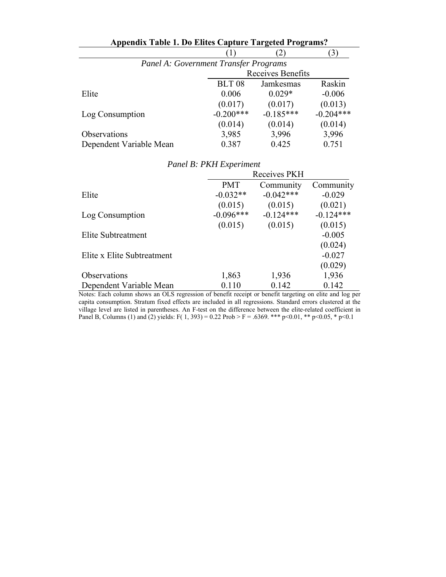| <b>Appendix Table 1. Do Elites Capture Targeted Programs?</b> |                   |             |             |  |
|---------------------------------------------------------------|-------------------|-------------|-------------|--|
|                                                               |                   |             |             |  |
| Panel A: Government Transfer Programs                         |                   |             |             |  |
|                                                               | Receives Benefits |             |             |  |
|                                                               | <b>BLT08</b>      | Jamkesmas   | Raskin      |  |
| Elite                                                         | 0.006             | $0.029*$    | $-0.006$    |  |
|                                                               | (0.017)           | (0.017)     | (0.013)     |  |
| Log Consumption                                               | $-0.200***$       | $-0.185***$ | $-0.204***$ |  |
|                                                               | (0.014)           | (0.014)     | (0.014)     |  |
| Observations                                                  | 3,985             | 3,996       | 3,996       |  |
| Dependent Variable Mean                                       | 0.387             | 0.425       | 0.751       |  |

|                            | Receives PKH |             |             |  |
|----------------------------|--------------|-------------|-------------|--|
|                            | <b>PMT</b>   | Community   | Community   |  |
| Elite                      | $-0.032**$   | $-0.042***$ | $-0.029$    |  |
|                            | (0.015)      | (0.015)     | (0.021)     |  |
| Log Consumption            | $-0.096***$  | $-0.124***$ | $-0.124***$ |  |
|                            | (0.015)      | (0.015)     | (0.015)     |  |
| Elite Subtreatment         |              |             | $-0.005$    |  |
|                            |              |             | (0.024)     |  |
| Elite x Elite Subtreatment |              |             | $-0.027$    |  |
|                            |              |             | (0.029)     |  |
| <b>Observations</b>        | 1,863        | 1,936       | 1,936       |  |
| Dependent Variable Mean    | 0.110        | 0.142       | 0.142       |  |

|  |  | Panel B: PKH Experiment |
|--|--|-------------------------|
|--|--|-------------------------|

Notes: Each column shows an OLS regression of benefit receipt or benefit targeting on elite and log per capita consumption. Stratum fixed effects are included in all regressions. Standard errors clustered at the village level are listed in parentheses. An F-test on the difference between the elite-related coefficient in Panel B, Columns (1) and (2) yields: F( 1, 393) = 0.22 Prob > F = .6369. \*\*\* p<0.01, \*\* p<0.05, \* p<0.1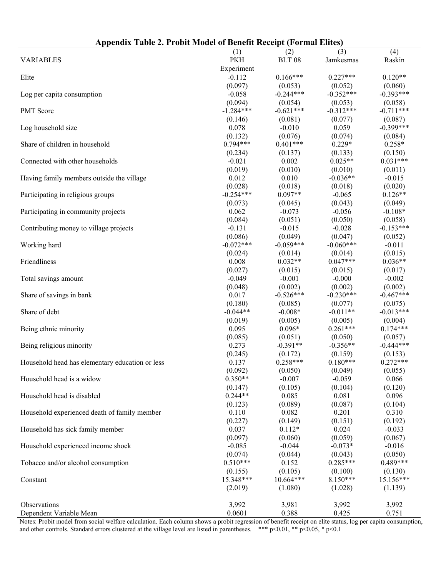|                                                 |             |                     | AT THEFT TATLES |             |
|-------------------------------------------------|-------------|---------------------|-----------------|-------------|
|                                                 | (1)         | (2)                 | (3)             | (4)         |
| <b>VARIABLES</b>                                | <b>PKH</b>  | <b>BLT 08</b>       | Jamkesmas       | Raskin      |
|                                                 | Experiment  |                     |                 |             |
| Elite                                           | $-0.112$    | $0.166***$          | $0.227***$      | $0.120**$   |
|                                                 | (0.097)     | (0.053)             | (0.052)         | (0.060)     |
| Log per capita consumption                      | $-0.058$    | $-0.244***$         | $-0.352***$     | $-0.393***$ |
|                                                 | (0.094)     | (0.054)             | (0.053)         | (0.058)     |
| PMT Score                                       | $-1.284***$ | $-0.621***$         | $-0.312***$     | $-0.711***$ |
|                                                 | (0.146)     | (0.081)             | (0.077)         | (0.087)     |
| Log household size                              | 0.078       | $-0.010$            | 0.059           | $-0.399***$ |
|                                                 | (0.132)     | (0.076)             | (0.074)         | (0.084)     |
| Share of children in household                  | $0.794***$  | $0.401***$          | $0.229*$        | $0.258*$    |
|                                                 |             |                     | (0.133)         | (0.150)     |
|                                                 | (0.234)     | (0.137)             | $0.025**$       | $0.031***$  |
| Connected with other households                 | $-0.021$    | 0.002               |                 |             |
|                                                 | (0.019)     | (0.010)             | (0.010)         | (0.011)     |
| Having family members outside the village       | 0.012       | 0.010               | $-0.036**$      | $-0.015$    |
|                                                 | (0.028)     | (0.018)             | (0.018)         | (0.020)     |
| Participating in religious groups               | $-0.254***$ | $0.097**$           | $-0.065$        | $0.126**$   |
|                                                 | (0.073)     | (0.045)             | (0.043)         | (0.049)     |
| Participating in community projects             | 0.062       | $-0.073$            | $-0.056$        | $-0.108*$   |
|                                                 | (0.084)     | (0.051)             | (0.050)         | (0.058)     |
| Contributing money to village projects          | $-0.131$    | $-0.015$            | $-0.028$        | $-0.153***$ |
|                                                 | (0.086)     | (0.049)             | (0.047)         | (0.052)     |
| Working hard                                    | $-0.072***$ | $-0.059***$         | $-0.060***$     | $-0.011$    |
|                                                 | (0.024)     | (0.014)             | (0.014)         | (0.015)     |
| Friendliness                                    | 0.008       | $0.032**$           | $0.047***$      | $0.036**$   |
|                                                 | (0.027)     | (0.015)             | (0.015)         | (0.017)     |
| Total savings amount                            | $-0.049$    | $-0.001$            | $-0.000$        | $-0.002$    |
|                                                 | (0.048)     | (0.002)             | (0.002)         | (0.002)     |
| Share of savings in bank                        | 0.017       | $-0.526***$         | $-0.230***$     | $-0.467***$ |
|                                                 | (0.180)     | (0.085)             | (0.077)         | (0.075)     |
| Share of debt                                   | $-0.044**$  | $-0.008*$           | $-0.011**$      | $-0.013***$ |
|                                                 | (0.019)     | (0.005)             | (0.005)         | (0.004)     |
| Being ethnic minority                           | 0.095       | $0.096*$            | $0.261***$      | $0.174***$  |
|                                                 | (0.085)     | (0.051)             | (0.050)         | (0.057)     |
| Being religious minority                        | 0.273       | $-0.391**$          | $-0.356**$      | $-0.444***$ |
|                                                 | (0.245)     | (0.172)             | (0.159)         | (0.153)     |
| Household head has elementary education or less | 0.137       | $0.258***$          | $0.180***$      | $0.272***$  |
|                                                 | (0.092)     | (0.050)             | (0.049)         | (0.055)     |
| Household head is a widow                       | $0.350**$   | $-0.007$            | $-0.059$        | 0.066       |
|                                                 | (0.147)     | (0.105)             | (0.104)         | (0.120)     |
| Household head is disabled                      | $0.244**$   | 0.085               | 0.081           | 0.096       |
|                                                 | (0.123)     | (0.089)             | (0.087)         | (0.104)     |
| Household experienced death of family member    | 0.110       | 0.082               | 0.201           | 0.310       |
|                                                 | (0.227)     |                     | (0.151)         | (0.192)     |
|                                                 | 0.037       | (0.149)<br>$0.112*$ | 0.024           | $-0.033$    |
| Household has sick family member                |             |                     |                 |             |
|                                                 | (0.097)     | (0.060)             | (0.059)         | (0.067)     |
| Household experienced income shock              | $-0.085$    | $-0.044$            | $-0.073*$       | $-0.016$    |
|                                                 | (0.074)     | (0.044)             | (0.043)         | (0.050)     |
| Tobacco and/or alcohol consumption              | $0.510***$  | 0.152               | $0.285***$      | $0.489***$  |
|                                                 | (0.155)     | (0.105)             | (0.100)         | (0.130)     |
| Constant                                        | 15.348***   | $10.664***$         | $8.150***$      | 15.156***   |
|                                                 | (2.019)     | (1.080)             | (1.028)         | (1.139)     |
|                                                 |             |                     |                 |             |
| Observations                                    | 3,992       | 3,981               | 3,992           | 3,992       |
| Dependent Variable Mean                         | 0.0601      | 0.388               | 0.425           | 0.751       |

**Appendix Table 2. Probit Model of Benefit Receipt (Formal Elites)** 

Notes: Probit model from social welfare calculation. Each column shows a probit regression of benefit receipt on elite status, log per capita consumption, and other controls. Standard errors clustered at the village level are listed in parentheses. \*\*\* p<0.01, \*\* p<0.05, \* p<0.1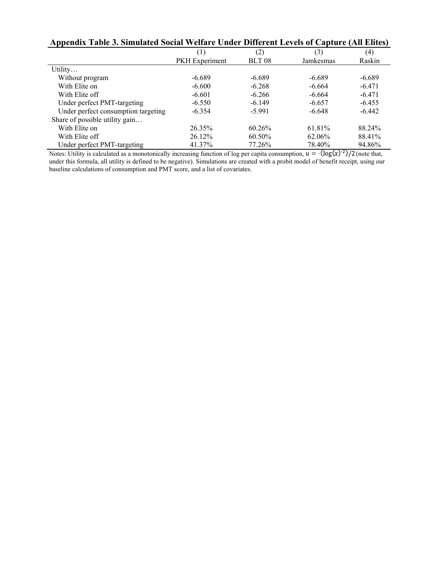|                                     | Novimi †† viimi v Unuvi Dhivi viit Ele†vis ol Umptul v (lah Elitts |                   |           |          |
|-------------------------------------|--------------------------------------------------------------------|-------------------|-----------|----------|
|                                     | T                                                                  | (2)               | (3)       | (4)      |
|                                     | <b>PKH</b> Experiment                                              | BLT <sub>08</sub> | Jamkesmas | Raskin   |
| Utility                             |                                                                    |                   |           |          |
| Without program                     | $-6.689$                                                           | $-6.689$          | $-6.689$  | $-6.689$ |
| With Elite on                       | $-6.600$                                                           | $-6.268$          | $-6.664$  | $-6.471$ |
| With Elite off                      | $-6.601$                                                           | $-6.266$          | $-6.664$  | $-6.471$ |
| Under perfect PMT-targeting         | $-6.550$                                                           | $-6.149$          | $-6.657$  | $-6.455$ |
| Under perfect consumption targeting | $-6.354$                                                           | $-5.991$          | $-6.648$  | $-6.442$ |
| Share of possible utility gain      |                                                                    |                   |           |          |
| With Elite on                       | 26.35%                                                             | 60.26%            | 61.81%    | 88.24%   |
| With Elite off                      | 26.12%                                                             | 60.50%            | 62.06%    | 88.41%   |
| Under perfect PMT-targeting         | 41.37%                                                             | 77.26%            | 78.40%    | 94.86%   |

## **Appendix Table 3. Simulated Social Welfare Under Different Levels of Capture (All Elites)**

Notes: Utility is calculated as a monotonically increasing function of log per capita consumption,  $u = -\frac{\log(x)}{2}$  (note that, under this formula, all utility is defined to be negative). Simulations are created with a probit model of benefit receipt, using our baseline calculations of consumption and PMT score, and a list of covariates.